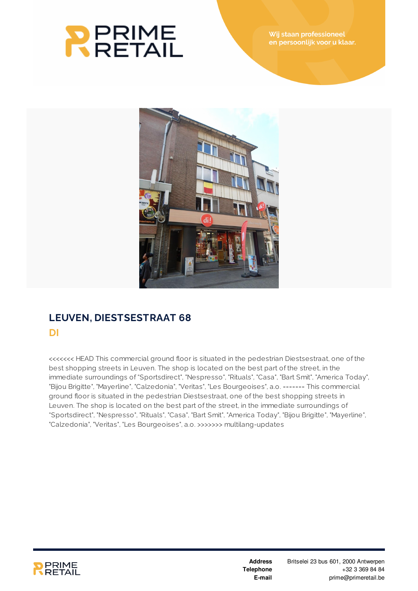# **RERIME**<br>RRETAIL



## **LEUVEN, DIESTSESTRAAT 68 DI**

<<<<<<< HEAD This commercial ground floor is situated in the pedestrian Diestsestraat, one of the best shopping streets in Leuven. The shop is located on the best part of the street, in the immediate surroundings of "Sportsdirect", "Nespresso", "Rituals", "Casa", "Bart Smit", "America Today", "Bijou Brigitte", "Mayerline", "Calzedonia", "Veritas", "Les Bourgeoises", a.o. ======= This commercial ground floor is situated in the pedestrian Diestsestraat, one of the best shopping streets in Leuven. The shop is located on the best part of the street, in the immediate surroundings of "Sportsdirect", "Nespresso", "Rituals", "Casa", "Bart Smit", "America Today", "Bijou Brigitte", "Mayerline", "Calzedonia", "Veritas", "Les Bourgeoises", a.o. >>>>>>> multilang-updates



**Address Telephone E-mail**